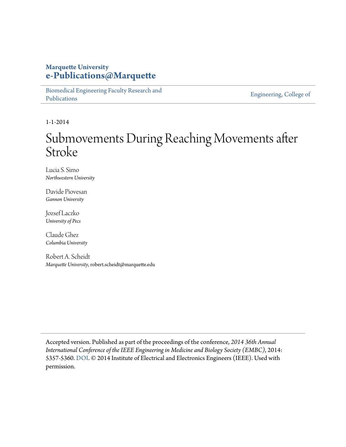# **Marquette University [e-Publications@Marquette](http://epublications.marquette.edu)**

[Biomedical Engineering Faculty Research and](http://epublications.marquette.edu/bioengin_fac) [Publications](http://epublications.marquette.edu/bioengin_fac)

[Engineering, College of](http://epublications.marquette.edu/engineering)

1-1-2014

# Submovements During Reaching Movements after Stroke

Lucia S. Simo *Northwestern University*

Davide Piovesan *Gannon University*

Jozsef Laczko *University of Pecs*

Claude Ghez *Columbia University*

Robert A. Scheidt *Marquette University*, robert.scheidt@marquette.edu

Accepted version. Published as part of the proceedings of the conference, *2014 36th Annual International Conference of the IEEE Engineering in Medicine and Biology Society (EMBC)*, 2014: 5357-5360. [DOI](http://dx.doi.org/10.1109/EMBC.2014.6944836). © 2014 Institute of Electrical and Electronics Engineers (IEEE). Used with permission.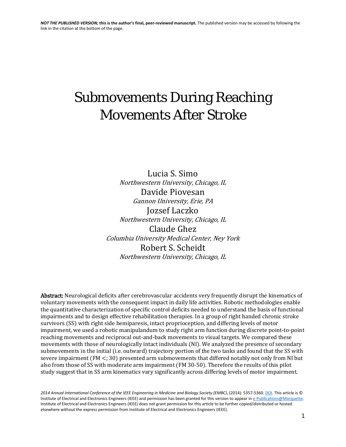# Submovements During Reaching Movements After Stroke

[Lucia S. Simo](http://ieeexplore.ieee.org/search/searchresult.jsp?searchWithin=%22Authors%22:.QT.Lucia%20S.%20Simo.QT.&newsearch=true) Northwestern University, Chicago, IL [Davide Piovesan](http://ieeexplore.ieee.org/search/searchresult.jsp?searchWithin=%22Authors%22:.QT.Davide%20Piovesan.QT.&newsearch=true) Gannon University, Erie, PA [Jozsef Laczko](http://ieeexplore.ieee.org/search/searchresult.jsp?searchWithin=%22Authors%22:.QT.Jozsef%20Laczko.QT.&newsearch=true) Northwestern University, Chicago, IL [Claude Ghez](http://ieeexplore.ieee.org/search/searchresult.jsp?searchWithin=%22Authors%22:.QT.Claude%20Ghez.QT.&newsearch=true) Columbia University Medical Center, Ney York [Robert S. Scheidt](http://ieeexplore.ieee.org/search/searchresult.jsp?searchWithin=%22Authors%22:.QT.Robert%20S.%20Scheidt.QT.&newsearch=true) Northwestern University, Chicago, IL

Abstract: Neurological deficits after cerebrovascular accidents very frequently disrupt the kinematics of voluntary movements with the consequent impact in daily life activities. Robotic methodologies enable the quantitative characterization of specific control deficits needed to understand the basis of functional impairments and to design effective rehabilitation therapies. In a group of right handed chronic stroke survivors (SS) with right side hemiparesis, intact proprioception, and differing levels of motor impairment, we used a robotic manipulandum to study right arm function during discrete point-to-point reaching movements and reciprocal out-and-back movements to visual targets. We compared these movements with those of neurologically intact individuals (NI). We analyzed the presence of secondary submovements in the initial (i.e. outward) trajectory portion of the two tasks and found that the SS with severe impairment (FM  $\lt$ ; 30) presented arm submovements that differed notably not only from NI but also from those of SS with moderate arm impairment (FM 30-50). Therefore the results of this pilot study suggest that in SS arm kinematics vary significantly across differing levels of motor impairment.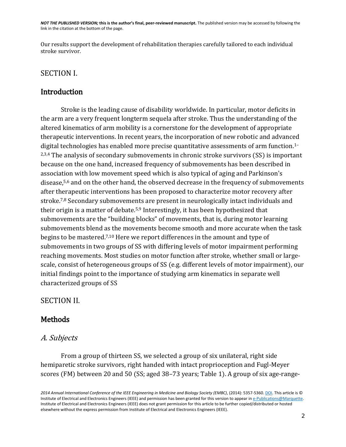Our results support the development of rehabilitation therapies carefully tailored to each individual stroke survivor.

#### SECTION I.

# Introduction

Stroke is the leading cause of disability worldwide. In particular, motor deficits in the arm are a very frequent longterm sequela after stroke. Thus the understanding of the altered kinematics of arm mobility is a cornerstone for the development of appropriate therapeutic interventions. In recent years, the incorporation of new robotic and advanced digital technologies has enabled more precise quantitative assessments of arm function. 1– <sup>2,3,4</sup> The analysis of secondary submovements in chronic stroke survivors (SS) is important because on the one hand, increased frequency of submovements has been described in association with low movement speed which is also typical of aging and Parkinson's disease, 5,6 and on the other hand, the observed decrease in the frequency of submovements after therapeutic interventions has been proposed to characterize motor recovery after stroke.<sup>7,8</sup> Secondary submovements are present in neurologically intact individuals and their origin is a matter of debate. 5,9 Interestingly, it has been hypothesized that submovements are the "building blocks" of movements, that is, during motor learning submovements blend as the movements become smooth and more accurate when the task begins to be mastered.<sup>7,10</sup> Here we report differences in the amount and type of submovements in two groups of SS with differing levels of motor impairment performing reaching movements. Most studies on motor function after stroke, whether small or largescale, consist of heterogeneous groups of SS (e.g. different levels of motor impairment), our initial findings point to the importance of studying arm kinematics in separate well characterized groups of SS

# SECTION II.

# **Methods**

# A. Subjects

From a group of thirteen SS, we selected a group of six unilateral, right side hemiparetic stroke survivors, right handed with intact proprioception and Fugl-Meyer scores (FM) between 20 and 50 (SS; aged 38–73 years; Table 1). A group of six age-range-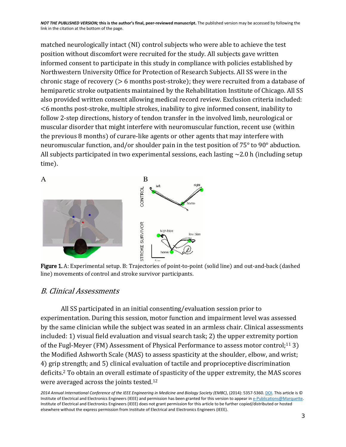matched neurologically intact (NI) control subjects who were able to achieve the test position without discomfort were recruited for the study. All subjects gave written informed consent to participate in this study in compliance with policies established by Northwestern University Office for Protection of Research Subjects. All SS were in the chronic stage of recovery ( $> 6$  months post-stroke); they were recruited from a database of hemiparetic stroke outpatients maintained by the Rehabilitation Institute of Chicago. All SS also provided written consent allowing medical record review. Exclusion criteria included: <6 months post-stroke, multiple strokes, inability to give informed consent, inability to follow 2-step directions, history of tendon transfer in the involved limb, neurological or muscular disorder that might interfere with neuromuscular function, recent use (within the previous 8 months) of curare-like agents or other agents that may interfere with neuromuscular function, and/or shoulder pain in the test position of 75° to 90° abduction. All subjects participated in two experimental sessions, each lasting  $\sim$  2.0 h (including setup time).



Figure 1. A: Experimental setup. B: Trajectories of point-to-point (solid line) and out-and-back (dashed line) movements of control and stroke survivor participants.

# B. Clinical Assessments

All SS participated in an initial consenting/evaluation session prior to experimentation. During this session, motor function and impairment level was assessed by the same clinician while the subject was seated in an armless chair. Clinical assessments included: 1) visual field evaluation and visual search task; 2) the upper extremity portion of the Fugl-Meyer (FM) Assessment of Physical Performance to assess motor control;11 3) the Modified Ashworth Scale (MAS) to assess spasticity at the shoulder, elbow, and wrist; 4) grip strength; and 5) clinical evaluation of tactile and proprioceptive discrimination deficits. <sup>2</sup> To obtain an overall estimate of spasticity of the upper extremity, the MAS scores were averaged across the joints tested.<sup>12</sup>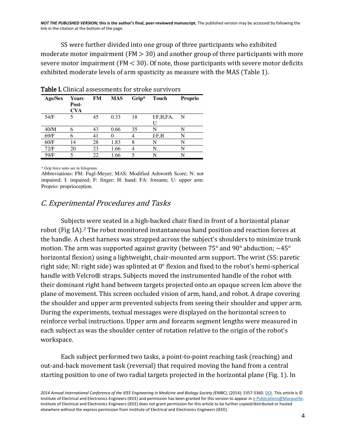SS were further divided into one group of three participants who exhibited moderate motor impairment ( $FM > 30$ ) and another group of three participants with more severe motor impairment (FM  $<$  30). Of note, those participants with severe motor deficits exhibited moderate levels of arm spasticity as measure with the MAS (Table 1).

| Age/Sex | Years<br>Post-<br><b>CVA</b> | FМ | MAS      | $Grip*$ | Touch          | Proprio |
|---------|------------------------------|----|----------|---------|----------------|---------|
| 54/F    | 5                            | 45 | 0.33     | 18      | I:F,H,FA,<br>Η | N       |
| 40/M    | 6                            | 43 | 0.66     | 35      | N              | N       |
| 69/F    | 6                            | 41 | $\Omega$ | 4       | I:F,H          | N       |
| 60/F    | 14                           | 28 | 1.83     | 8       | N              | N       |
| 72/F    | 20                           | 23 | 1.66     | 4       | N              | N       |
| 59/F    | 5                            | 22 | 1.66     | 5       | N              | N       |

Table I. Clinical assessments for stroke survivors

\* Grip force units are in Kilograms

Abbreviations: FM: Fugl-Meyer; MAS: Modified Ashworth Score; N: not impaired; I: impaired; F: finger; H: hand; FA: forearm; U: upper arm; Proprio: proprioception.

# C. Experimental Procedures and Tasks

Subjects were seated in a high-backed chair fixed in front of a horizontal planar robot (Fig 1A). <sup>2</sup> The robot monitored instantaneous hand position and reaction forces at the handle. A chest harness was strapped across the subject's shoulders to minimize trunk motion. The arm was supported against gravity (between  $75^{\circ}$  and  $90^{\circ}$  abduction;  $\sim$ 45 $^{\circ}$ horizontal flexion) using a lightweight, chair-mounted arm support. The wrist (SS: paretic right side; NI: right side) was splinted at 0° flexion and fixed to the robot's hemi-spherical handle with Velcro® straps. Subjects moved the instrumented handle of the robot with their dominant right hand between targets projected onto an opaque screen lcm above the plane of movement. This screen occluded vision of arm, hand, and robot. A drape covering the shoulder and upper arm prevented subjects from seeing their shoulder and upper arm. During the experiments, textual messages were displayed on the horizontal screen to reinforce verbal instructions. Upper arm and forearm segment lengths were measured in each subject as was the shoulder center of rotation relative to the origin of the robot's workspace.

Each subject performed two tasks, a point-to-point reaching task (reaching) and out-and-back movement task (reversal) that required moving the hand from a central starting position to one of two radial targets projected in the horizontal plane (Fig. 1). In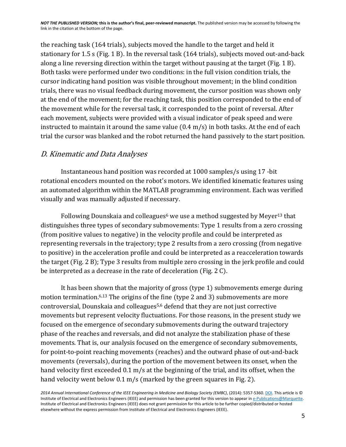the reaching task (164 trials), subjects moved the handle to the target and held it stationary for 1.5 s (Fig. 1 B). In the reversal task (164 trials), subjects moved out-and-back along a line reversing direction within the target without pausing at the target (Fig. 1 B). Both tasks were performed under two conditions: in the full vision condition trials, the cursor indicating hand position was visible throughout movement; in the blind condition trials, there was no visual feedback during movement, the cursor position was shown only at the end of the movement; for the reaching task, this position corresponded to the end of the movement while for the reversal task, it corresponded to the point of reversal. After each movement, subjects were provided with a visual indicator of peak speed and were instructed to maintain it around the same value (0.4 m/s) in both tasks. At the end of each trial the cursor was blanked and the robot returned the hand passively to the start position.

# D. Kinematic and Data Analyses

Instantaneous hand position was recorded at 1000 samples/s using 17 -bit rotational encoders mounted on the robot's motors. We identified kinematic features using an automated algorithm within the MATLAB programming environment. Each was verified visually and was manually adjusted if necessary.

Following Dounskaia and colleagues<sup>6</sup> we use a method suggested by Meyer<sup>13</sup> that distinguishes three types of secondary submovements: Type 1 results from a zero crossing (from positive values to negative) in the velocity profile and could be interpreted as representing reversals in the trajectory; type 2 results from a zero crossing (from negative to positive) in the acceleration profile and could be interpreted as a reacceleration towards the target (Fig. 2 B); Type 3 results from multiple zero crossing in the jerk profile and could be interpreted as a decrease in the rate of deceleration (Fig. 2 C).

It has been shown that the majority of gross (type 1) submovements emerge during motion termination. 6,13 The origins of the fine (type 2 and 3) submovements are more controversial, Dounskaia and colleagues5,6 defend that they are not just corrective movements but represent velocity fluctuations. For those reasons, in the present study we focused on the emergence of secondary submovements during the outward trajectory phase of the reaches and reversals, and did not analyze the stabilization phase of these movements. That is, our analysis focused on the emergence of secondary submovements, for point-to-point reaching movements (reaches) and the outward phase of out-and-back movements (reversals), during the portion of the movement between its onset, when the hand velocity first exceeded 0.1 m/s at the beginning of the trial, and its offset, when the hand velocity went below 0.1 m/s (marked by the green squares in Fig. 2).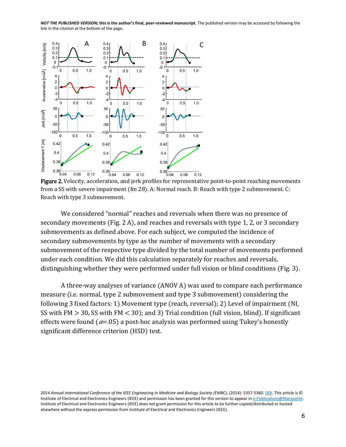

Figure 2. Velocity, acceleration, and jerk profiles for representative point-to-point reaching movements from a SS with severe impairment (fm 28). A: Normal reach. B: Reach with type 2 submovement. C: Reach with type 3 submovement.

We considered "normal" reaches and reversals when there was no presence of secondary movements (Fig. 2 A), and reaches and reversals with type 1, 2, or 3 secondary submovements as defined above. For each subject, we computed the incidence of secondary submovements by type as the number of movements with a secondary submovement of the respective type divided by the total number of movements performed under each condition. We did this calculation separately for reaches and reversals, distinguishing whether they were performed under full vision or blind conditions (Fig. 3).

A three-way analyses of variance (ANOV A) was used to compare each performance measure (i.e. normal, type 2 submovement and type 3 submovement) considering the following 3 fixed factors: 1) Movement type (reach, reversal); 2) Level of impairment (NI, SS with  $FM > 30$ , SS with  $FM < 30$ ; and 3) Trial condition (full vision, blind). If significant effects were found ( $\alpha = 0.05$ ) a post-hoc analysis was performed using Tukey's honestly significant difference criterion (HSD) test.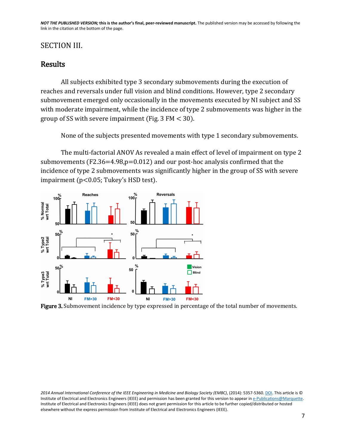# SECTION III.

# **Results**

All subjects exhibited type 3 secondary submovements during the execution of reaches and reversals under full vision and blind conditions. However, type 2 secondary submovement emerged only occasionally in the movements executed by NI subject and SS with moderate impairment, while the incidence of type 2 submovements was higher in the group of SS with severe impairment (Fig.  $3$  FM  $<$  30).

None of the subjects presented movements with type 1 secondary submovements.

The multi-factorial ANOV As revealed a main effect of level of impairment on type 2 submovements (F2.36=4.98,p=0.012) and our post-hoc analysis confirmed that the incidence of type 2 submovements was significantly higher in the group of SS with severe impairment (p<0.05; Tukey's HSD test).



Figure 3. Submovement incidence by type expressed in percentage of the total number of movements.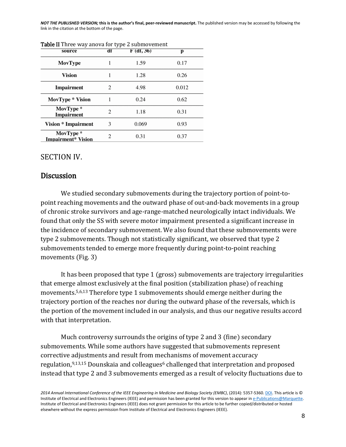| source                                 | dľ             | F(dt, 36) | р     |
|----------------------------------------|----------------|-----------|-------|
| MovType                                | 1              | 1.59      | 0.17  |
| Vision                                 |                | 1.28      | 0.26  |
| Impairment                             | 2              | 4.98      | 0.012 |
| <b>MovType</b> * Vision                | 1              | 0.24      | 0.62  |
| MovType *<br>Impairment                | $\overline{c}$ | 1.18      | 0.31  |
| <b>Vision * Impairment</b>             | 3              | 0.069     | 0.93  |
| MovType *<br><b>Impairment* Vision</b> | 2              | 0.31      | 0.37  |

#### [Table II Three way anova for type 2 submovement](http://ieeexplore.ieee.org/ielx7/6923026/6943513/6944836/html/img/6944836-table-2-large.gif)

#### SECTION IV.

#### **Discussion**

We studied secondary submovements during the trajectory portion of point-topoint reaching movements and the outward phase of out-and-back movements in a group of chronic stroke survivors and age-range-matched neurologically intact individuals. We found that only the SS with severe motor impairment presented a significant increase in the incidence of secondary submovement. We also found that these submovements were type 2 submovements. Though not statistically significant, we observed that type 2 submovements tended to emerge more frequently during point-to-point reaching movements (Fig. 3)

It has been proposed that type 1 (gross) submovements are trajectory irregularities that emerge almost exclusively at the final position (stabilization phase) of reaching movements. 5,6,13 Therefore type 1 submovements should emerge neither during the trajectory portion of the reaches nor during the outward phase of the reversals, which is the portion of the movement included in our analysis, and thus our negative results accord with that interpretation.

Much controversy surrounds the origins of type 2 and 3 (fine) secondary submovements. While some authors have suggested that submovements represent corrective adjustments and result from mechanisms of movement accuracy regulation,<sup>9,13,15</sup> Dounskaia and colleagues<sup>6</sup> challenged that interpretation and proposed instead that type 2 and 3 submovements emerged as a result of velocity fluctuations due to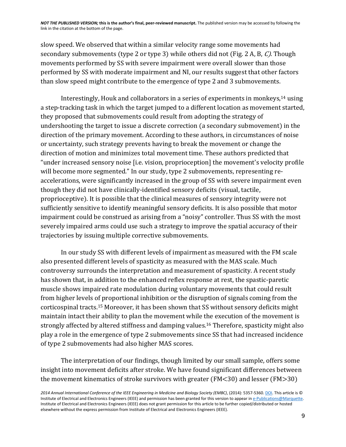slow speed. We observed that within a similar velocity range some movements had secondary submovements (type 2 or type 3) while others did not (Fig. 2 A, B, C). Though movements performed by SS with severe impairment were overall slower than those performed by SS with moderate impairment and NI, our results suggest that other factors than slow speed might contribute to the emergence of type 2 and 3 submovements.

Interestingly, Houk and collaborators in a series of experiments in monkeys, <sup>14</sup> using a step-tracking task in which the target jumped to a different location as movement started, they proposed that submovements could result from adopting the strategy of undershooting the target to issue a discrete correction (a secondary submovement) in the direction of the primary movement. According to these authors, in circumstances of noise or uncertainty, such strategy prevents having to break the movement or change the direction of motion and minimizes total movement time. These authors predicted that "under increased sensory noise [i.e. vision, proprioception] the movement's velocity profile will become more segmented." In our study, type 2 submovements, representing reaccelerations, were significantly increased in the group of SS with severe impairment even though they did not have clinically-identified sensory deficits (visual, tactile, proprioceptive). It is possible that the clinical measures of sensory integrity were not sufficiently sensitive to identify meaningful sensory deficits. It is also possible that motor impairment could be construed as arising from a "noisy" controller. Thus SS with the most severely impaired arms could use such a strategy to improve the spatial accuracy of their trajectories by issuing multiple corrective submovements.

In our study SS with different levels of impairment as measured with the FM scale also presented different levels of spasticity as measured with the MAS scale. Much controversy surrounds the interpretation and measurement of spasticity. A recent study has shown that, in addition to the enhanced reflex response at rest, the spastic-paretic muscle shows impaired rate modulation during voluntary movements that could result from higher levels of proportional inhibition or the disruption of signals coming from the corticospinal tracts. <sup>15</sup> Moreover, it has been shown that SS without sensory deficits might maintain intact their ability to plan the movement while the execution of the movement is strongly affected by altered stiffness and damping values. <sup>16</sup> Therefore, spasticity might also play a role in the emergence of type 2 submovements since SS that had increased incidence of type 2 submovements had also higher MAS scores.

The interpretation of our findings, though limited by our small sample, offers some insight into movement deficits after stroke. We have found significant differences between the movement kinematics of stroke survivors with greater (FM<30) and lesser (FM>30)

*<sup>2014</sup> Annual International Conference of the IEEE Engineering in Medicine and Biology Society (EMBC)*, (2014): 5357-5360[. DOI.](http://dx.doi.org/10.1109/EMBC.2014.6944836) This article is © Institute of Electrical and Electronics Engineers (IEEE) and permission has been granted for this version to appear in e-Publications@Marquette. Institute of Electrical and Electronics Engineers (IEEE) does not grant permission for this article to be further copied/distributed or hosted elsewhere without the express permission from Institute of Electrical and Electronics Engineers (IEEE).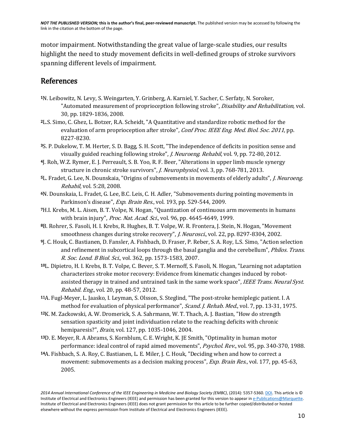motor impairment. Notwithstanding the great value of large-scale studies, our results highlight the need to study movement deficits in well-defined groups of stroke survivors spanning different levels of impairment.

# References

- 1N. Leibowitz, N. Levy, S. Weingarten, Y. Grinberg, A. Karniel, Y. Sacher, C. Serfaty, N. Soroker, "Automated measurement of proprioception following stroke", Disability and Rehabilitation, vol. 30, pp. 1829-1836, 2008.
- 2L.S. Simo, C. Ghez, L. Botzer, R.A. Scheidt, "A Quantitative and standardize robotic method for the evaluation of arm proprioception after stroke", Conf Proc. IEEE Eng. Med. Biol. Soc. 2011, pp. 8227-8230.
- 3S. P. Dukelow, T. M. Herter, S. D. Bagg, S. H. Scott, "The independence of deficits in position sense and visually guided reaching following stroke", *J. Neuroeng. Rehabil*, vol. 9, pp. 72-80, 2012.
- 4J. Roh, W.Z. Rymer, E. J. Perreault, S. B. Yoo, R. F. Beer, "Alterations in upper limb muscle synergy structure in chronic stroke survivors", *J. Neurophysiol*, vol. 3, pp. 768-781, 2013.
- 5L. Fradet, G. Lee, N. Dounskaia, "Origins of submovements in movements of elderly adults", *J. Neuroeng.* Rehabil, vol. 5:28, 2008.
- 6N. Dounskaia, L. Fradet, G. Lee, B.C. Leis, C. H. Adler, "Submovements during pointing movements in Parkinson's disease", Exp. Brain Res., vol. 193, pp. 529-544, 2009.
- 7H.I. Krebs, M. L. Aisen, B. T. Volpe, N. Hogan, "Quantization of continuous arm movements in humans with brain injury", *Proc. Nat. Acad. Sci.*, vol. 96, pp. 4645-4649, 1999.
- 8B. Rohrer, S. Fasoli, H. I. Krebs, R. Hughes, B. T. Volpe, W. R. Frontera, J. Stein, N. Hogan, "Movement smoothness changes during stroke recovery", J. Neurosci., vol. 22, pp. 8297-8304, 2002.
- 9J. C. Houk, C. Bastianen, D. Fansler, A. Fishbach, D. Fraser, P. Reber, S. A. Roy, L.S. Simo, "Action selection and refinement in subcortical loops through the basal ganglia and the cerebellum", Philos. Trans. R. Soc. Lond. B Biol. Sci., vol. 362, pp. 1573-1583, 2007.
- 10L. Dipietro, H. I. Krebs, B. T. Volpe, C. Bever, S. T. Mernoff, S. Fasoli, N. Hogan, "Learning not adaptation characterizes stroke motor recovery: Evidence from kinematic changes induced by robotassisted therapy in trained and untrained task in the same work space", IEEE Trans. Neural Syst. Rehabil. Eng., vol. 20, pp. 48-57, 2012.
- 11A. Fugl-Meyer, L. Jaasko, I. Leyman, S. Olsson, S. Steglind, "The post-stroke hemiplegic patient. I. A method for evaluation of physical performance", Scand. J. Rehab. Med., vol. 7, pp. 13-31, 1975.
- 12K. M. Zackowski, A. W. Dromerick, S. A. Sahrmann, W. T. Thach, A. J. Bastian, "How do strength sensation spasticity and joint individuation relate to the reaching deficits with chronic hemiparesis?", Brain, vol. 127, pp. 1035-1046, 2004.
- 13D. E. Meyer, R. A Abrams, S. Kornblum, C. E. Wright, K. JE Smith, "Optimality in human motor performance: ideal control of rapid aimed movements", Psychol. Rev., vol. 95, pp. 340-370, 1988.
- 14A. Fishbach, S. A. Roy, C. Bastianen, L. E. Miler, J. C. Houk, "Deciding when and how to correct a movement: submovements as a decision making process", *Exp. Brain Res.*, vol. 177, pp. 45-63, 2005.